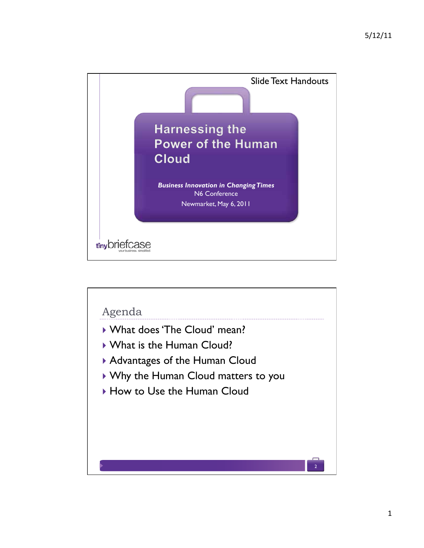

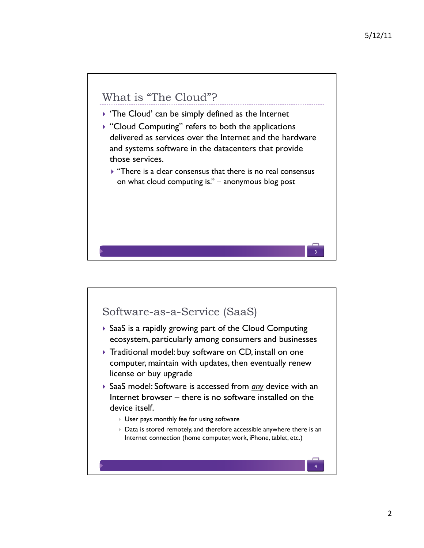3

## What is "The Cloud"?

- $\triangleright$  'The Cloud' can be simply defined as the Internet
- $\triangleright$  "Cloud Computing" refers to both the applications delivered as services over the Internet and the hardware and systems software in the datacenters that provide those services.
	- $\blacktriangleright$  "There is a clear consensus that there is no real consensus on what cloud computing is." – anonymous blog post

# Software-as-a-Service (SaaS) ! SaaS is a rapidly growing part of the Cloud Computing ecosystem, particularly among consumers and businesses ▶ Traditional model: buy software on CD, install on one computer, maintain with updates, then eventually renew license or buy upgrade ! SaaS model: Software is accessed from *any* device with an Internet browser – there is no software installed on the device itself. **I** User pays monthly fee for using software ! Data is stored remotely, and therefore accessible anywhere there is an Internet connection (home computer, work, iPhone, tablet, etc.) 4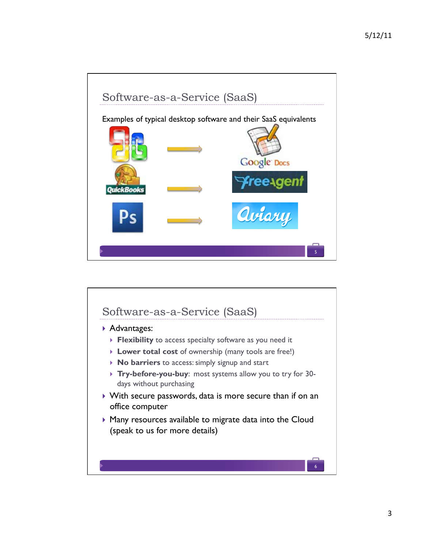

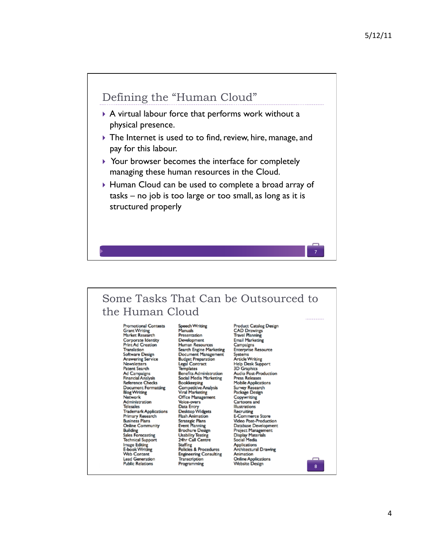

#### Some Tasks That Can be Outsourced to the Human Cloud

**Promotional Contests** Grant Writing<br>Market Research Corporate Identity Print Ad Creation<br>Translation Software Design Answering Service<br>Newsletters **Patent Search** Patent Search<br>Ad Campaigns<br>Financial Analysis **Reference Checks Document Formatting Blog Writing**<br>Network Administration **Telesales** Trademark Applications Primary Research<br>Business Plans **Online Community Building**<br>Sales Forecasting **Technical Support** Image Editing<br>E-book Writing **Web Content Lead Generation Public Relations** 

Speech Writing<br>Manuals Presentation Development Human Resources Search Engine Marketing<br>Document Management **Budget Preparation**<br>Legal Contract **Templates** Benefits Administration<br>Social Media Marketing Bookkeeping<br>Competitive Analysis<br>Viral Marketing Office Management Voice-overs voice-overs<br>Data Entry<br>Desktop Widgets<br>Hash Animation<br>Strategic Plans<br>Event Manning Brochure Design<br>Usability Testing<br>24hr Call Centre Staffing<br>Policies & Procedures Engineering Consulting<br>Transcription Programming

CAD Drawings<br>Travel Planning Email Marketing Campaigns<br>Enterprise Resource Systems<br>Systems<br>Article Writing<br>Help Desk Support **3D** Graphics Audio Post-Production **Press Releases Mobile Applications** Survey Research Package Design Copywriting Cartoons and Illustrations muse abons<br>Recruiting<br>E-Commerce Store<br>Video Post-Production **Price Post-Production**<br>
Database Development<br>
Project Management<br>
Display Materials<br>
Social Media Applications<br>Architectural Drawing Animation Online Applications<br>Website Design

Product Catalog Design

8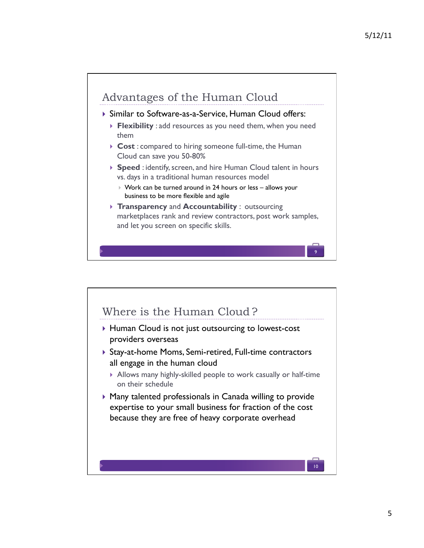9

## Advantages of the Human Cloud

#### ! Similar to Software-as-a-Service, Human Cloud offers:

- ! **Flexibility** : add resources as you need them, when you need them
- ▶ Cost : compared to hiring someone full-time, the Human Cloud can save you 50-80%
- ▶ **Speed** : identify, screen, and hire Human Cloud talent in hours vs. days in a traditional human resources model
	- ! Work can be turned around in 24 hours or less allows your business to be more flexible and agile
- ! **Transparency** and **Accountability** : outsourcing marketplaces rank and review contractors, post work samples, and let you screen on specific skills.

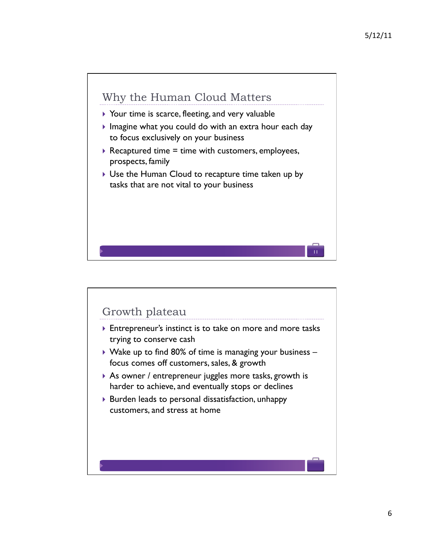

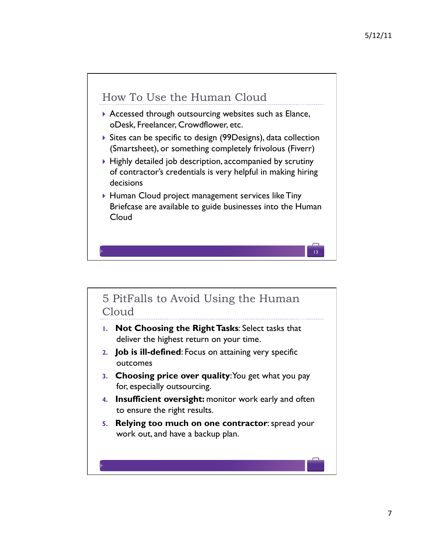

#### 5 PitFalls to Avoid Using the Human Cloud

- **1. Not Choosing the Right Tasks**: Select tasks that deliver the highest return on your time.
- **2. Job is ill-defined**: Focus on attaining very specific outcomes
- **3. Choosing price over quality**: You get what you pay for, especially outsourcing.
- **4. Insufficient oversight:** monitor work early and often to ensure the right results.
- **5. Relying too much on one contractor**: spread your work out, and have a backup plan.